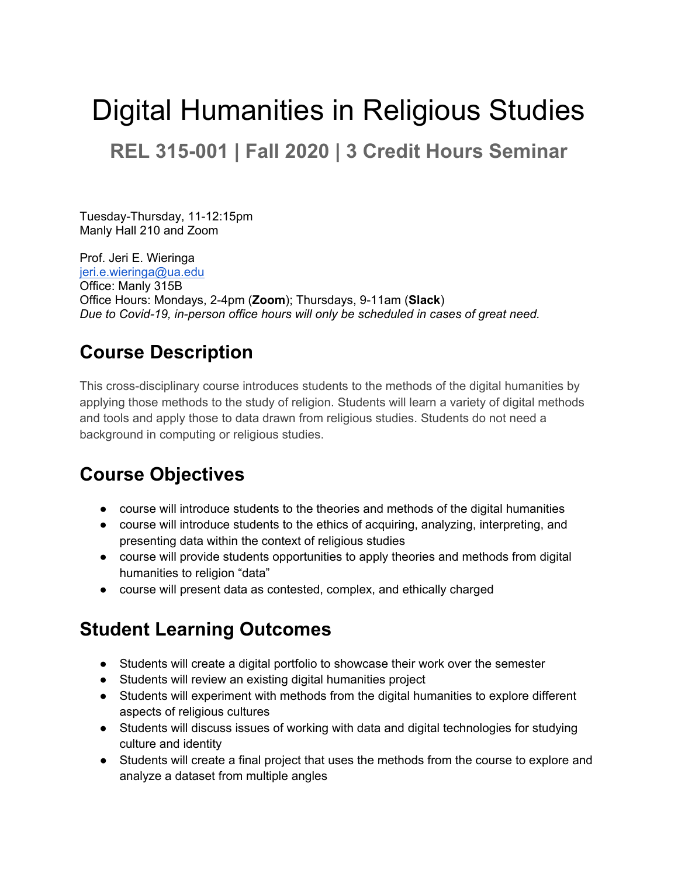# Digital Humanities in Religious Studies **REL 315-001 | Fall 2020 | 3 Credit Hours Seminar**

Tuesday-Thursday, 11-12:15pm Manly Hall 210 and Zoom

Prof. Jeri E. Wieringa [jeri.e.wieringa@ua.edu](mailto:jeri.e.wieringa@ua.edu) Office: Manly 315B Office Hours: Mondays, 2-4pm (**Zoom**); Thursdays, 9-11am (**Slack**) *Due to Covid-19, in-person office hours will only be scheduled in cases of great need.*

# **Course Description**

This cross-disciplinary course introduces students to the methods of the digital humanities by applying those methods to the study of religion. Students will learn a variety of digital methods and tools and apply those to data drawn from religious studies. Students do not need a background in computing or religious studies.

# **Course Objectives**

- course will introduce students to the theories and methods of the digital humanities
- course will introduce students to the ethics of acquiring, analyzing, interpreting, and presenting data within the context of religious studies
- course will provide students opportunities to apply theories and methods from digital humanities to religion "data"
- course will present data as contested, complex, and ethically charged

# **Student Learning Outcomes**

- Students will create a digital portfolio to showcase their work over the semester
- Students will review an existing digital humanities project
- Students will experiment with methods from the digital humanities to explore different aspects of religious cultures
- Students will discuss issues of working with data and digital technologies for studying culture and identity
- Students will create a final project that uses the methods from the course to explore and analyze a dataset from multiple angles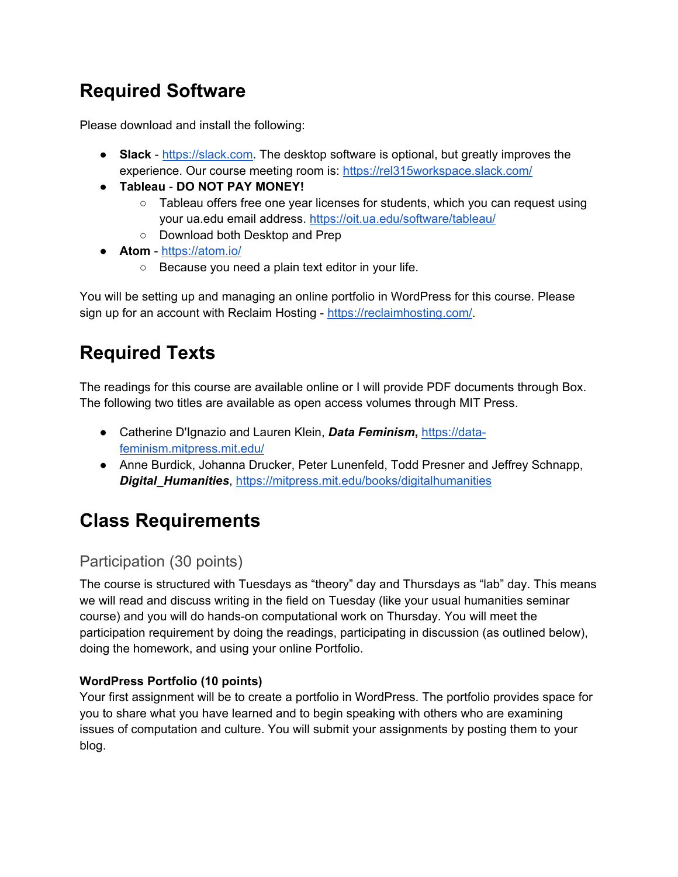# **Required Software**

Please download and install the following:

- **Slack** - [https://slack.com.](https://slack.com/) The desktop software is optional, but greatly improves the experience. Our course meeting room is:<https://rel315workspace.slack.com/>
- **Tableau DO NOT PAY MONEY!**
	- Tableau offers free one year licenses for students, which you can request using your ua.edu email address.<https://oit.ua.edu/software/tableau/>
	- Download both Desktop and Prep
- **Atom** -<https://atom.io/>
	- Because you need a plain text editor in your life.

You will be setting up and managing an online portfolio in WordPress for this course. Please sign up for an account with Reclaim Hosting - [https://reclaimhosting.com/.](https://reclaimhosting.com/)

# **Required Texts**

The readings for this course are available online or I will provide PDF documents through Box. The following two titles are available as open access volumes through MIT Press.

- Catherine D'Ignazio and Lauren Klein, *Data Feminism***,** [https://data](https://data-feminism.mitpress.mit.edu/)[feminism.mitpress.mit.edu/](https://data-feminism.mitpress.mit.edu/)
- Anne Burdick, Johanna Drucker, Peter Lunenfeld, Todd Presner and Jeffrey Schnapp, *Digital\_Humanities*,<https://mitpress.mit.edu/books/digitalhumanities>

# **Class Requirements**

### Participation (30 points)

The course is structured with Tuesdays as "theory" day and Thursdays as "lab" day. This means we will read and discuss writing in the field on Tuesday (like your usual humanities seminar course) and you will do hands-on computational work on Thursday. You will meet the participation requirement by doing the readings, participating in discussion (as outlined below), doing the homework, and using your online Portfolio.

### **WordPress Portfolio (10 points)**

Your first assignment will be to create a portfolio in WordPress. The portfolio provides space for you to share what you have learned and to begin speaking with others who are examining issues of computation and culture. You will submit your assignments by posting them to your blog.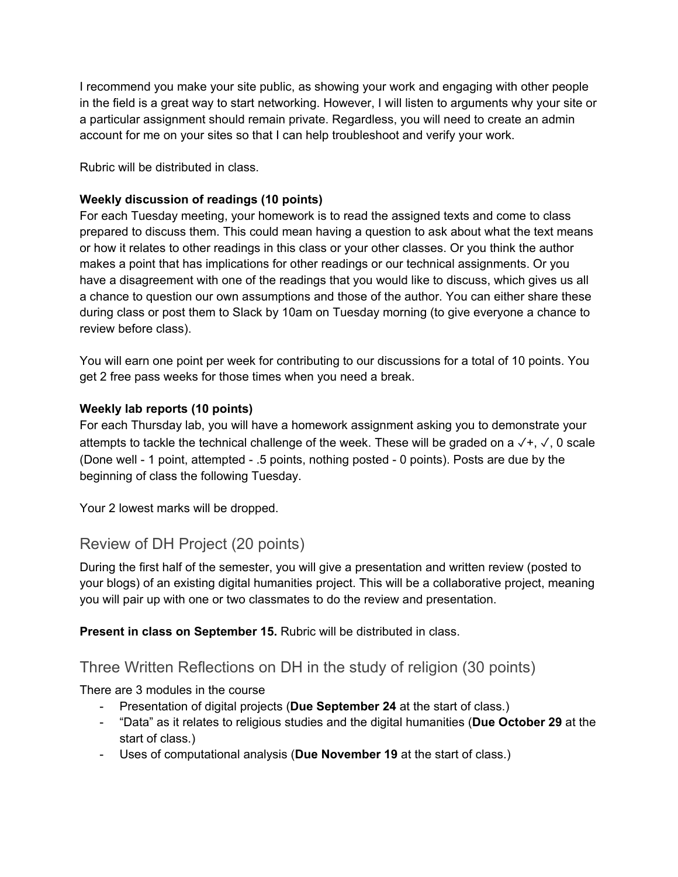I recommend you make your site public, as showing your work and engaging with other people in the field is a great way to start networking. However, I will listen to arguments why your site or a particular assignment should remain private. Regardless, you will need to create an admin account for me on your sites so that I can help troubleshoot and verify your work.

Rubric will be distributed in class.

#### **Weekly discussion of readings (10 points)**

For each Tuesday meeting, your homework is to read the assigned texts and come to class prepared to discuss them. This could mean having a question to ask about what the text means or how it relates to other readings in this class or your other classes. Or you think the author makes a point that has implications for other readings or our technical assignments. Or you have a disagreement with one of the readings that you would like to discuss, which gives us all a chance to question our own assumptions and those of the author. You can either share these during class or post them to Slack by 10am on Tuesday morning (to give everyone a chance to review before class).

You will earn one point per week for contributing to our discussions for a total of 10 points. You get 2 free pass weeks for those times when you need a break.

#### **Weekly lab reports (10 points)**

For each Thursday lab, you will have a homework assignment asking you to demonstrate your attempts to tackle the technical challenge of the week. These will be graded on a  $\checkmark$ +,  $\checkmark$ , 0 scale (Done well - 1 point, attempted - .5 points, nothing posted - 0 points). Posts are due by the beginning of class the following Tuesday.

Your 2 lowest marks will be dropped.

#### Review of DH Project (20 points)

During the first half of the semester, you will give a presentation and written review (posted to your blogs) of an existing digital humanities project. This will be a collaborative project, meaning you will pair up with one or two classmates to do the review and presentation.

**Present in class on September 15. Rubric will be distributed in class.** 

### Three Written Reflections on DH in the study of religion (30 points)

There are 3 modules in the course

- Presentation of digital projects (**Due September 24** at the start of class.)
- "Data" as it relates to religious studies and the digital humanities (**Due October 29** at the start of class.)
- Uses of computational analysis (**Due November 19** at the start of class.)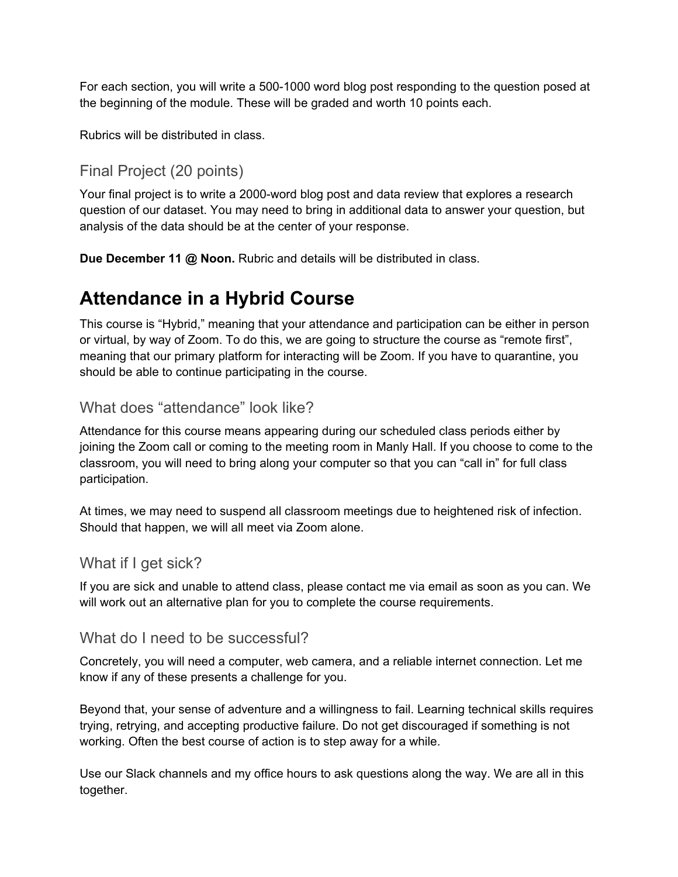For each section, you will write a 500-1000 word blog post responding to the question posed at the beginning of the module. These will be graded and worth 10 points each.

Rubrics will be distributed in class.

### Final Project (20 points)

Your final project is to write a 2000-word blog post and data review that explores a research question of our dataset. You may need to bring in additional data to answer your question, but analysis of the data should be at the center of your response.

**Due December 11 @ Noon.** Rubric and details will be distributed in class.

# **Attendance in a Hybrid Course**

This course is "Hybrid," meaning that your attendance and participation can be either in person or virtual, by way of Zoom. To do this, we are going to structure the course as "remote first", meaning that our primary platform for interacting will be Zoom. If you have to quarantine, you should be able to continue participating in the course.

### What does "attendance" look like?

Attendance for this course means appearing during our scheduled class periods either by joining the Zoom call or coming to the meeting room in Manly Hall. If you choose to come to the classroom, you will need to bring along your computer so that you can "call in" for full class participation.

At times, we may need to suspend all classroom meetings due to heightened risk of infection. Should that happen, we will all meet via Zoom alone.

#### What if I get sick?

If you are sick and unable to attend class, please contact me via email as soon as you can. We will work out an alternative plan for you to complete the course requirements.

#### What do I need to be successful?

Concretely, you will need a computer, web camera, and a reliable internet connection. Let me know if any of these presents a challenge for you.

Beyond that, your sense of adventure and a willingness to fail. Learning technical skills requires trying, retrying, and accepting productive failure. Do not get discouraged if something is not working. Often the best course of action is to step away for a while.

Use our Slack channels and my office hours to ask questions along the way. We are all in this together.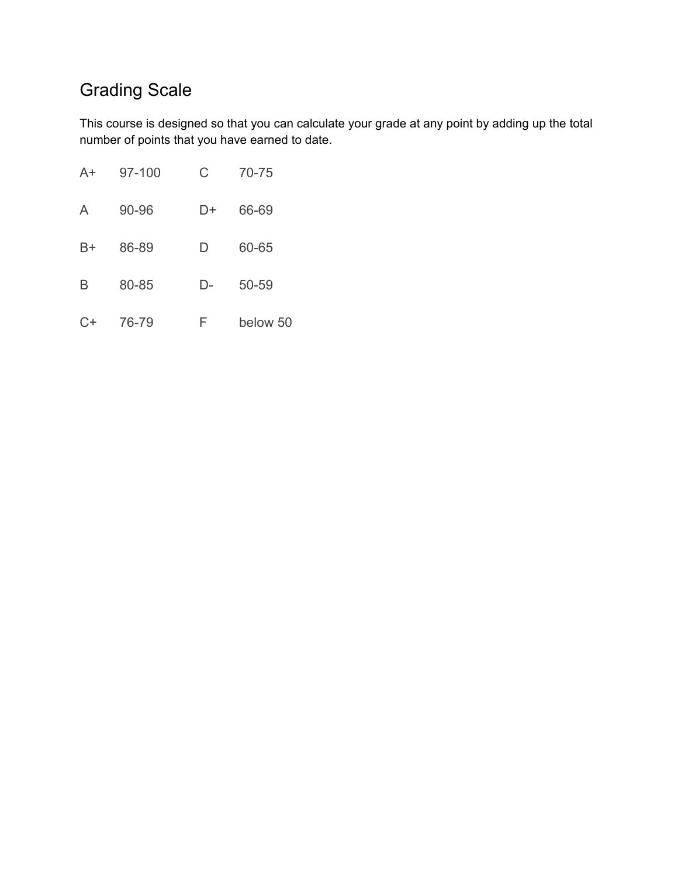# Grading Scale

This course is designed so that you can calculate your grade at any point by adding up the total number of points that you have earned to date.

| $A+$ | 97-100 | C  | 70-75    |
|------|--------|----|----------|
| A    | 90-96  | D+ | 66-69    |
| B+   | 86-89  | D  | 60-65    |
| B    | 80-85  | D- | 50-59    |
| $C+$ | 76-79  | F  | below 50 |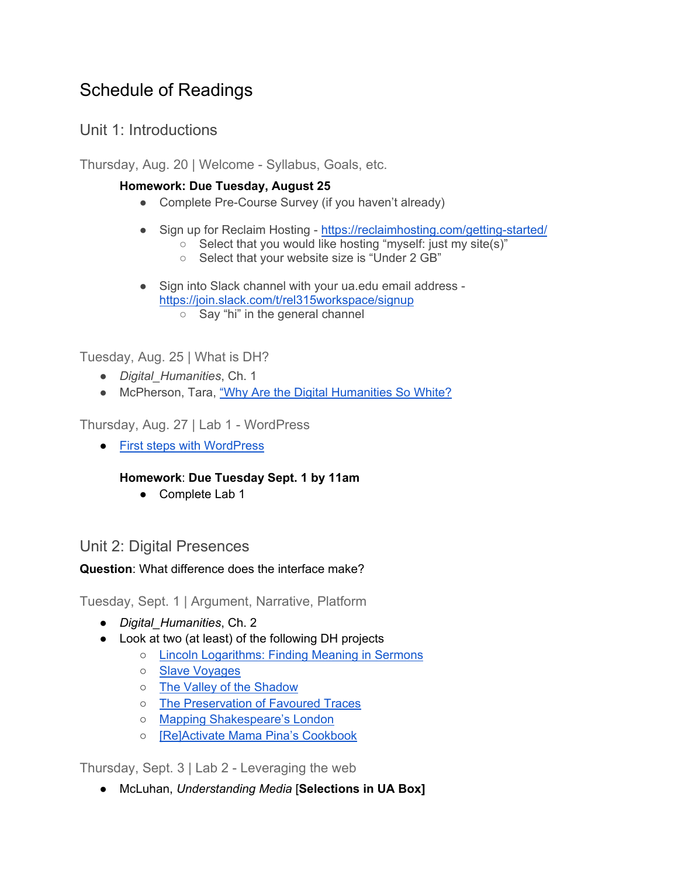## Schedule of Readings

### Unit 1: Introductions

Thursday, Aug. 20 | Welcome - Syllabus, Goals, etc.

#### **Homework: Due Tuesday, August 25**

- Complete Pre-Course Survey (if you haven't already)
- Sign up for Reclaim Hosting -<https://reclaimhosting.com/getting-started/>
	- Select that you would like hosting "myself: just my site(s)"
	- Select that your website size is "Under 2 GB"
- Sign into Slack channel with your ua.edu email address <https://join.slack.com/t/rel315workspace/signup> ○ Say "hi" in the general channel

Tuesday, Aug. 25 | What is DH?

- *Digital\_Humanities*, Ch. 1
- McPherson, Tara, "Why Are the Digital Humanities So White?

Thursday, Aug. 27 | Lab 1 - WordPress

● [First steps with WordPress](https://wordpress.org/support/article/first-steps-with-wordpress/)

#### **Homework**: **Due Tuesday Sept. 1 by 11am**

● Complete Lab 1

### Unit 2: Digital Presences

**Question**: What difference does the interface make?

Tuesday, Sept. 1 | Argument, Narrative, Platform

- *Digital\_Humanities*, Ch. 2
- Look at two (at least) of the following DH projects
	- [Lincoln Logarithms: Finding Meaning in Sermons](http://lincolnlogs.digitalscholarship.emory.edu/reflection/)
	- [Slave Voyages](https://www.slavevoyages.org/)
	- [The Valley of the Shadow](https://valley.lib.virginia.edu/)
	- [The Preservation of Favoured Traces](https://fathom.info/traces/)
	- [Mapping Shakespeare's London](http://map.shakespeare.kcl.ac.uk/)
	- [\[Re\]Activate Mama Pina's Cookbook](http://www.criticalmediartstudio.com/RemediatingMamaPina/)

Thursday, Sept. 3 | Lab 2 - Leveraging the web

● McLuhan, *Understanding Media* [**Selections in UA Box]**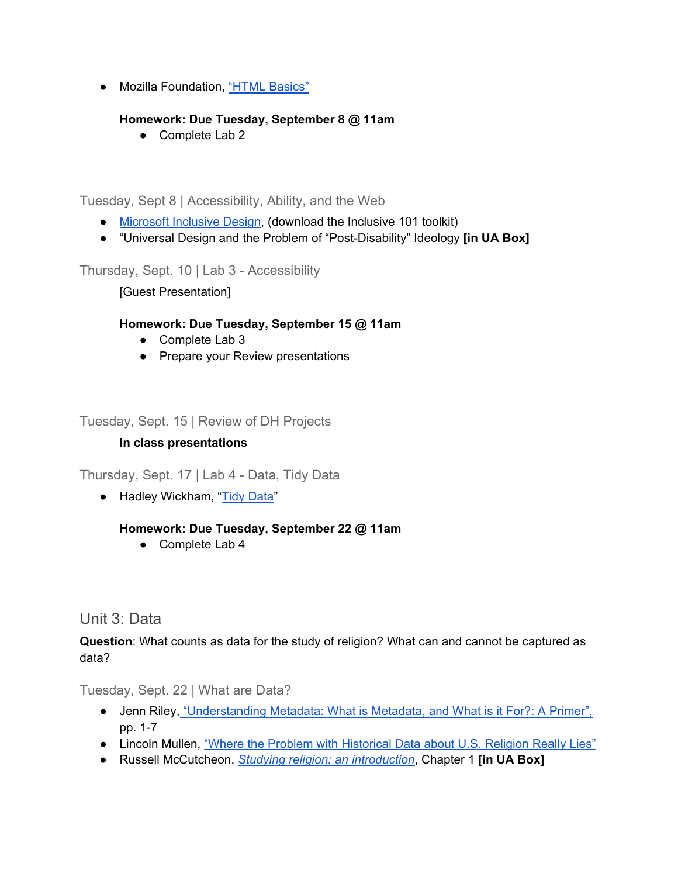● Mozilla Foundation, ["HTML Basics"](https://developer.mozilla.org/en-US/docs/Learn/Getting_started_with_the_web/HTML_basics)

#### **Homework: Due Tuesday, September 8 @ 11am**

● Complete Lab 2

Tuesday, Sept 8 | Accessibility, Ability, and the Web

- [Microsoft Inclusive Design,](https://www.microsoft.com/design/inclusive/) (download the Inclusive 101 toolkit)
- "Universal Design and the Problem of "Post-Disability" Ideology **[in UA Box]**

Thursday, Sept. 10 | Lab 3 - Accessibility

[Guest Presentation]

#### **Homework: Due Tuesday, September 15 @ 11am**

- Complete Lab 3
- Prepare your Review presentations

Tuesday, Sept. 15 | Review of DH Projects

#### **In class presentations**

Thursday, Sept. 17 | Lab 4 - Data, Tidy Data

● Hadley Wickham, ["Tidy Data"](https://www.jstatsoft.org/article/view/v059i10)

#### **Homework: Due Tuesday, September 22 @ 11am**

● Complete Lab 4

#### Unit 3: Data

**Question**: What counts as data for the study of religion? What can and cannot be captured as data?

Tuesday, Sept. 22 | What are Data?

- Jenn Riley, "Understanding Metadata: What is Metadata, and What is it For?: A Primer", pp. 1-7
- Lincoln Mullen, ["Where the Problem with Historical Data about U.S. Religion Really Lies"](https://lincolnmullen.com/blog/where-the-problem-with-historical-data-about-u-s-religion-really-lies/)
- Russell McCutcheon, *[Studying religion: an introduction](https://search-ebscohost-com.libdata.lib.ua.edu/login.aspx?direct=true&db=nlebk&AN=1936884&site=ehost-live&scope=site&ebv=EB&ppid=pp_17)*, Chapter 1 **[in UA Box]**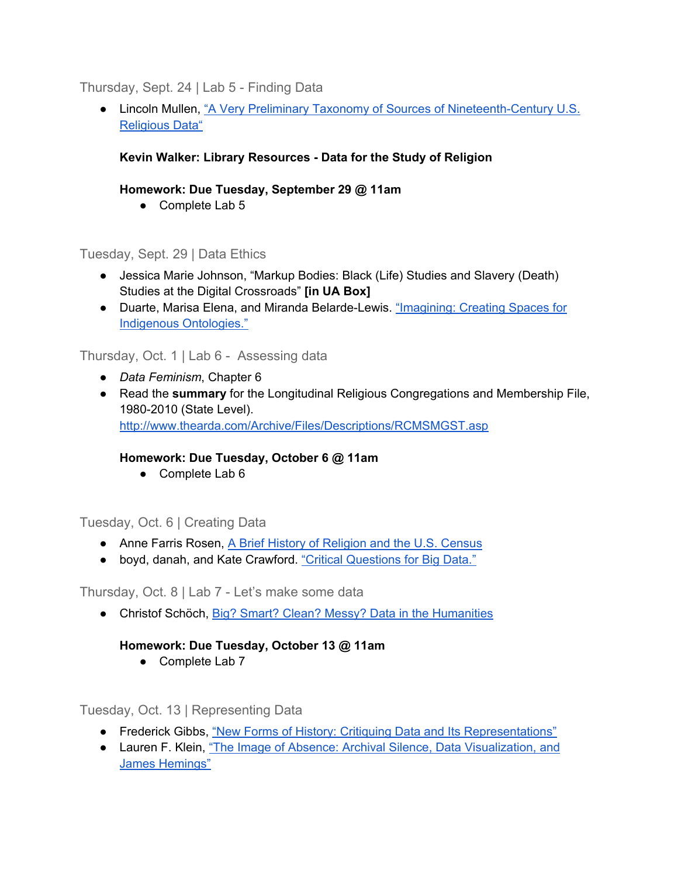#### Thursday, Sept. 24 | Lab 5 - Finding Data

● Lincoln Mullen, ["A Very Preliminary Taxonomy of Sources of Nineteenth-Century U.S.](https://lincolnmullen.com/blog/a-very-preliminary-taxonomy-of-sources-of-nineteenth-century-u-s-religious-data/)  [Religious Data"](https://lincolnmullen.com/blog/a-very-preliminary-taxonomy-of-sources-of-nineteenth-century-u-s-religious-data/) 

#### **Kevin Walker: Library Resources - Data for the Study of Religion**

#### **Homework: Due Tuesday, September 29 @ 11am**

● Complete Lab 5

#### Tuesday, Sept. 29 | Data Ethics

- Jessica Marie Johnson, "Markup Bodies: Black (Life) Studies and Slavery (Death) Studies at the Digital Crossroads" **[in UA Box]**
- Duarte, Marisa Elena, and Miranda Belarde-Lewis. "Imagining: Creating Spaces for [Indigenous Ontologies."](https://doi-org.libdata.lib.ua.edu/10.1080/01639374.2015.1018396)

#### Thursday, Oct. 1 | Lab 6 - Assessing data

- *Data Feminism*, Chapter 6
- Read the **summary** for the Longitudinal Religious Congregations and Membership File, 1980-2010 (State Level). <http://www.thearda.com/Archive/Files/Descriptions/RCMSMGST.asp>

#### **Homework: Due Tuesday, October 6 @ 11am**

● Complete Lab 6

#### Tuesday, Oct. 6 | Creating Data

- Anne Farris Rosen, A Brief History of Religion and the U.S. Census
- boyd, danah, and Kate Crawford. "Critical Questions for Big Data."

Thursday, Oct. 8 | Lab 7 - Let's make some data

● Christof Schöch, [Big? Smart? Clean? Messy? Data in the Humanities](http://journalofdigitalhumanities.org/2-3/big-smart-clean-messy-data-in-the-humanities/)

#### **Homework: Due Tuesday, October 13 @ 11am**

● Complete Lab 7

Tuesday, Oct. 13 | Representing Data

- Frederick Gibbs, ["New Forms of History: Critiquing Data and Its Representations"](https://www.oah.org/tah/issues/2016/february/new-forms-of-history-critiquing-data-and-its-representations/)
- Lauren F. Klein, ["The Image of Absence: Archival Silence, Data Visualization, and](https://read-dukeupress-edu.libdata.lib.ua.edu/american-literature/article/85/4/661/4953/The-Image-of-Absence-Archival-Silence-Data)  [James Hemings"](https://read-dukeupress-edu.libdata.lib.ua.edu/american-literature/article/85/4/661/4953/The-Image-of-Absence-Archival-Silence-Data)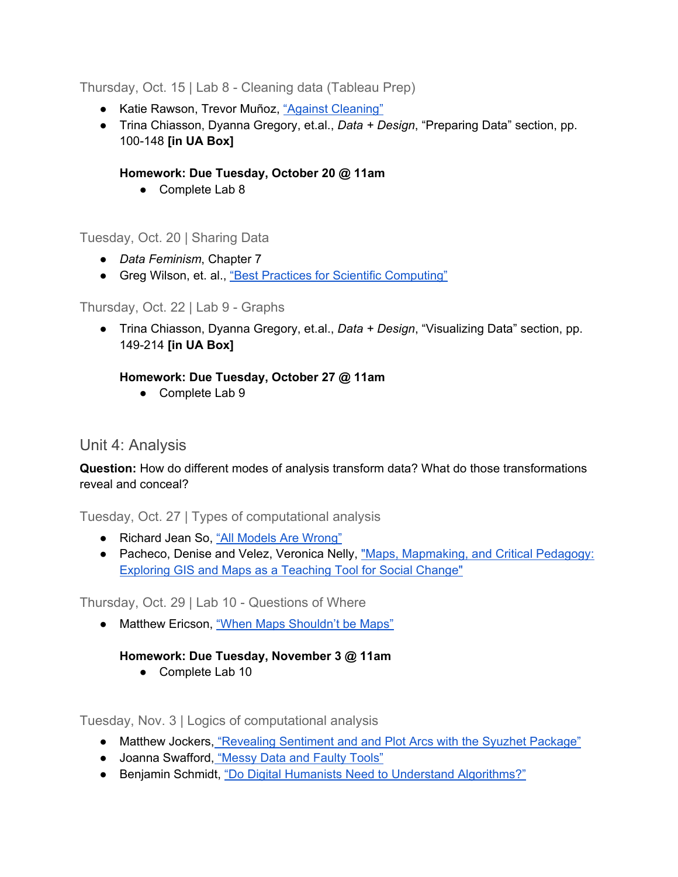Thursday, Oct. 15 | Lab 8 - Cleaning data (Tableau Prep)

- Katie Rawson, Trevor Muñoz, ["Against Cleaning"](http://curatingmenus.org/articles/against-cleaning/)
- Trina Chiasson, Dyanna Gregory, et.al., *Data + Design*, "Preparing Data" section, pp. 100-148 **[in UA Box]**

#### **Homework: Due Tuesday, October 20 @ 11am**

● Complete Lab 8

Tuesday, Oct. 20 | Sharing Data

- *Data Feminism*, Chapter 7
- Greg Wilson, et. al., ["Best Practices for Scientific Computing"](https://journals.plos.org/plosbiology/article?id=10.1371/journal.pbio.1001745)

#### Thursday, Oct. 22 | Lab 9 - Graphs

● Trina Chiasson, Dyanna Gregory, et.al., *Data + Design*, "Visualizing Data" section, pp. 149-214 **[in UA Box]**

#### **Homework: Due Tuesday, October 27 @ 11am**

● Complete Lab 9

### Unit 4: Analysis

**Question:** How do different modes of analysis transform data? What do those transformations reveal and conceal?

Tuesday, Oct. 27 | Types of computational analysis

- Richard Jean So, "All Models Are Wrong"
- Pacheco, Denise and Velez, Veronica Nelly, "Maps, Mapmaking, and Critical Pedagogy: [Exploring GIS and Maps as a Teaching Tool for Social Change"](https://digitalcommons.law.seattleu.edu/sjsj/vol8/iss1/11/)

Thursday, Oct. 29 | Lab 10 - Questions of Where

● Matthew Ericson, ["When Maps Shouldn't be Maps"](http://www.ericson.net/content/2011/10/when-maps-shouldnt-be-maps/)

#### **Homework: Due Tuesday, November 3 @ 11am**

● Complete Lab 10

Tuesday, Nov. 3 | Logics of computational analysis

- Matthew Jockers, ["Revealing Sentiment and and Plot Arcs with the Syuzhet Package"](http://www.matthewjockers.net/2015/02/02/syuzhet/)
- Joanna Swafford, ["Messy Data and Faulty Tools"](https://dhdebates.gc.cuny.edu/read/untitled/section/7e0afe14-e266-4359-aa4a-5dff02735e8b#ch49)
- Benjamin Schmidt, "Do Digital Humanists Need to Understand Algorithms?"